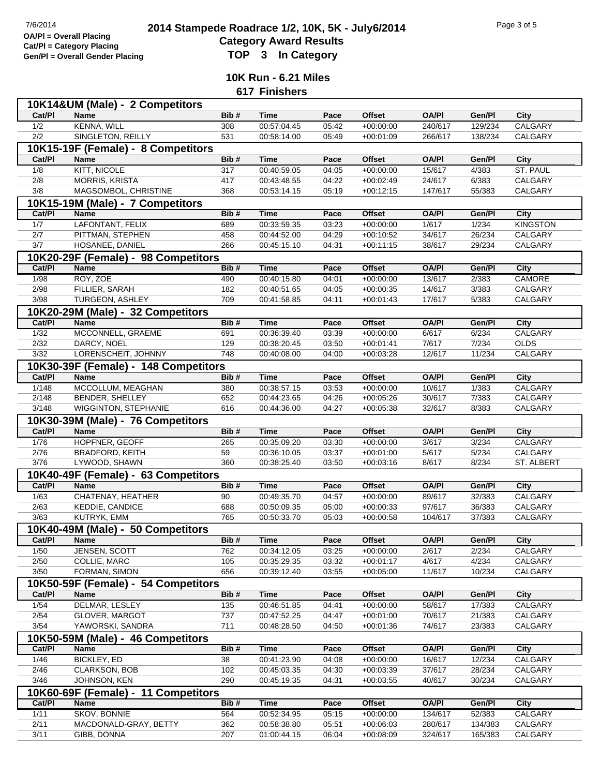## **2014 Stampede Roadrace 1/2, 10K, 5K - July6/2014** Page 3 of 5<br> **Cotogory Award Boaulto**<br> **Cotogory Award Boaulto Category Award Results Gen/Pl = Overall Gender Placing TOP 3 In Category**

**10K Run - 6.21 Miles 617 Finishers**

| 10K14&UM (Male) - 2 Competitors    |                                      |      |                            |       |               |                  |         |                 |  |  |
|------------------------------------|--------------------------------------|------|----------------------------|-------|---------------|------------------|---------|-----------------|--|--|
| Cat/PI                             | <b>Name</b>                          | Bib# | <b>Time</b>                | Pace  | <b>Offset</b> | <b>OA/PI</b>     | Gen/Pl  | City            |  |  |
| 1/2                                | <b>KENNA, WILL</b>                   | 308  | 00:57:04.45                | 05:42 | $+00:00:00$   | 240/617          | 129/234 | <b>CALGARY</b>  |  |  |
| 2/2                                | <b>SINGLETON, REILLY</b>             | 531  | 00:58:14.00                | 05:49 | $+00:01:09$   | 266/617          | 138/234 | <b>CALGARY</b>  |  |  |
| 10K15-19F (Female) - 8 Competitors |                                      |      |                            |       |               |                  |         |                 |  |  |
| Cat/PI                             | <b>Name</b>                          | Bib# | <b>Time</b>                | Pace  | <b>Offset</b> | <b>OA/PI</b>     | Gen/Pl  | City            |  |  |
| 1/8                                | KITT, NICOLE                         | 317  | 00:40:59.05                | 04:05 | $+00:00:00$   | 15/617           | 4/383   | <b>ST. PAUL</b> |  |  |
| $\overline{2/8}$                   | MORRIS, KRISTA                       | 417  | 00:43:48.55                | 04:22 | $+00:02:49$   | 24/617           | 6/383   | CALGARY         |  |  |
| 3/8                                | MAGSOMBOL, CHRISTINE                 | 368  | 00:53:14.15                | 05:19 | $+00:12:15$   | 147/617          | 55/383  | CALGARY         |  |  |
|                                    | 10K15-19M (Male) - 7 Competitors     |      |                            |       |               |                  |         |                 |  |  |
| Cat/PI                             | <b>Name</b>                          | Bib# | <b>Time</b>                | Pace  | <b>Offset</b> | <b>OA/PI</b>     | Gen/Pl  | <b>City</b>     |  |  |
| 1/7                                | LAFONTANT, FELIX                     | 689  | 00:33:59.35                | 03:23 | $+00:00:00$   | 1/617            | 1/234   | <b>KINGSTON</b> |  |  |
|                                    |                                      | 458  |                            | 04:29 |               |                  | 26/234  | CALGARY         |  |  |
| 2/7<br>3/7                         | PITTMAN, STEPHEN<br>HOSANEE, DANIEL  | 266  | 00:44:52.00<br>00:45:15.10 | 04:31 | $+00:10:52$   | 34/617<br>38/617 | 29/234  |                 |  |  |
|                                    |                                      |      |                            |       | $+00:11:15$   |                  |         | CALGARY         |  |  |
|                                    | 10K20-29F (Female) - 98 Competitors  |      |                            |       |               |                  |         |                 |  |  |
| Cat/PI                             | <b>Name</b>                          | Bib# | <b>Time</b>                | Pace  | <b>Offset</b> | <b>OA/PI</b>     | Gen/Pl  | <b>City</b>     |  |  |
| 1/98                               | ROY, ZOE                             | 490  | 00:40:15.80                | 04:01 | $+00:00:00$   | 13/617           | 2/383   | CAMORE          |  |  |
| 2/98                               | FILLIER, SARAH                       | 182  | 00:40:51.65                | 04:05 | $+00:00:35$   | 14/617           | 3/383   | CALGARY         |  |  |
| 3/98                               | <b>TURGEON, ASHLEY</b>               | 709  | 00:41:58.85                | 04:11 | $+00:01:43$   | 17/617           | 5/383   | CALGARY         |  |  |
|                                    | 10K20-29M (Male) - 32 Competitors    |      |                            |       |               |                  |         |                 |  |  |
| Cat/PI                             | Name                                 | Bib# | <b>Time</b>                | Pace  | <b>Offset</b> | <b>OA/PI</b>     | Gen/Pl  | <b>City</b>     |  |  |
| $\frac{1}{32}$                     | MCCONNELL, GRAEME                    | 691  | 00:36:39.40                | 03:39 | $+00:00:00$   | 6/617            | 6/234   | CALGARY         |  |  |
| 2/32                               | DARCY, NOEL                          | 129  | 00:38:20.45                | 03:50 | $+00:01:41$   | 7/617            | 7/234   | <b>OLDS</b>     |  |  |
| 3/32                               | LORENSCHEIT, JOHNNY                  | 748  | 00:40:08.00                | 04:00 | $+00:03:28$   | 12/617           | 11/234  | CALGARY         |  |  |
|                                    | 10K30-39F (Female) - 148 Competitors |      |                            |       |               |                  |         |                 |  |  |
| Cat/PI                             | <b>Name</b>                          | Bib# | <b>Time</b>                | Pace  | <b>Offset</b> | <b>OA/PI</b>     | Gen/Pl  | City            |  |  |
| 1/148                              | MCCOLLUM, MEAGHAN                    | 380  | 00:38:57.15                | 03:53 | $+00:00:00$   | 10/617           | 1/383   | CALGARY         |  |  |
| 2/148                              | BENDER, SHELLEY                      | 652  | 00:44:23.65                | 04:26 | $+00:05:26$   | 30/617           | 7/383   | CALGARY         |  |  |
| 3/148                              | WIGGINTON, STEPHANIE                 | 616  | 00:44:36.00                | 04:27 | $+00:05:38$   | 32/617           | 8/383   | CALGARY         |  |  |
|                                    |                                      |      |                            |       |               |                  |         |                 |  |  |
|                                    | 10K30-39M (Male) - 76 Competitors    |      |                            |       |               |                  |         |                 |  |  |
| Cat/PI                             | <b>Name</b>                          | Bib# | <b>Time</b>                | Pace  | <b>Offset</b> | <b>OA/PI</b>     | Gen/Pl  | <b>City</b>     |  |  |
| 1/76                               | HOPFNER, GEOFF                       | 265  | 00:35:09.20                | 03:30 | $+00.00.00$   | 3/617            | 3/234   | CALGARY         |  |  |
| 2/76                               | BRADFORD, KEITH                      | 59   | 00:36:10.05                | 03:37 | $+00:01:00$   | 5/617            | 5/234   | CALGARY         |  |  |
| 3/76                               | LYWOOD, SHAWN                        | 360  | 00:38:25.40                | 03:50 | $+00:03:16$   | 8/617            | 8/234   | ST. ALBERT      |  |  |
|                                    | 10K40-49F (Female) - 63 Competitors  |      |                            |       |               |                  |         |                 |  |  |
| Cat/PI                             | <b>Name</b>                          | Bib# | <b>Time</b>                | Pace  | <b>Offset</b> | <b>OA/PI</b>     | Gen/Pl  | <b>City</b>     |  |  |
| 1/63                               | CHATENAY, HEATHER                    | 90   | 00:49:35.70                | 04:57 | $+00:00:00$   | 89/617           | 32/383  | <b>CALGARY</b>  |  |  |
| 2/63                               | KEDDIE, CANDICE                      | 688  | 00:50:09.35                | 05:00 | $+00:00:33$   | 97/617           | 36/383  | CALGARY         |  |  |
| 3/63                               | KUTRYK, EMM                          | 765  | 00:50:33.70                | 05:03 | $+00:00:58$   | 104/617          | 37/383  | CALGARY         |  |  |
|                                    | 10K40-49M (Male) - 50 Competitors    |      |                            |       |               |                  |         |                 |  |  |
| Cat/PI                             | Name                                 | Bib# | <b>Time</b>                | Pace  | <b>Offset</b> | <b>OA/PI</b>     | Gen/Pl  | <b>City</b>     |  |  |
| 1/50                               | JENSEN, SCOTT                        | 762  | 00:34:12.05                | 03:25 | $+00:00:00$   | 2/617            | 2/234   | CALGARY         |  |  |
| 2/50                               | COLLIE, MARC                         | 105  | 00:35:29.35                | 03:32 | $+00:01:17$   | 4/617            | 4/234   | CALGARY         |  |  |
| 3/50                               | FORMAN, SIMON                        | 656  | 00:39:12.40                | 03:55 | $+00:05:00$   | 11/617           | 10/234  | CALGARY         |  |  |
|                                    | 10K50-59F (Female) - 54 Competitors  |      |                            |       |               |                  |         |                 |  |  |
| Cat/PI                             | Name                                 | Bib# | <b>Time</b>                | Pace  | Offset        | <b>OA/PI</b>     | Gen/Pl  | City            |  |  |
| $\frac{1}{54}$                     | DELMAR, LESLEY                       | 135  | 00:46:51.85                | 04:41 | $+00:00:00$   | 58/617           | 17/383  | <b>CALGARY</b>  |  |  |
| 2/54                               | GLOVER, MARGOT                       | 737  | 00:47:52.25                | 04:47 | $+00:01:00$   | 70/617           | 21/383  | CALGARY         |  |  |
| $\frac{3}{54}$                     | YAWORSKI, SANDRA                     | 711  | 00:48:28.50                | 04:50 | $+00:01:36$   | 74/617           | 23/383  | CALGARY         |  |  |
|                                    |                                      |      |                            |       |               |                  |         |                 |  |  |
|                                    | 10K50-59M (Male) - 46 Competitors    |      |                            |       |               |                  |         |                 |  |  |
| Cat/PI                             | <b>Name</b>                          | Bib# | <b>Time</b>                | Pace  | Offset        | <b>OA/PI</b>     | Gen/Pl  | City            |  |  |
| 1/46                               | <b>BICKLEY, ED</b>                   | 38   | 00:41:23.90                | 04:08 | $+00:00:00$   | 16/617           | 12/234  | CALGARY         |  |  |
| 2/46                               | <b>CLARKSON, BOB</b>                 | 102  | 00:45:03.35                | 04:30 | $+00:03:39$   | 37/617           | 28/234  | CALGARY         |  |  |
| $\frac{3}{46}$                     | JOHNSON, KEN                         | 290  | 00:45:19.35                | 04:31 | $+00:03:55$   | 40/617           | 30/234  | CALGARY         |  |  |
|                                    | 10K60-69F (Female) - 11 Competitors  |      |                            |       |               |                  |         |                 |  |  |
| Cat/PI                             | <b>Name</b>                          | Bib# | <b>Time</b>                | Pace  | Offset        | <b>OA/PI</b>     | Gen/Pl  | City            |  |  |
| 1/11                               | SKOV, BONNIE                         | 564  | 00:52:34.95                | 05:15 | $+00:00:00$   | 134/617          | 52/383  | CALGARY         |  |  |
| 2/11                               | MACDONALD-GRAY, BETTY                | 362  | 00:58:38.80                | 05:51 | $+00:06:03$   | 280/617          | 134/383 | CALGARY         |  |  |
| 3/11                               | GIBB, DONNA                          | 207  | 01:00:44.15                | 06:04 | $+00:08:09$   | 324/617          | 165/383 | CALGARY         |  |  |